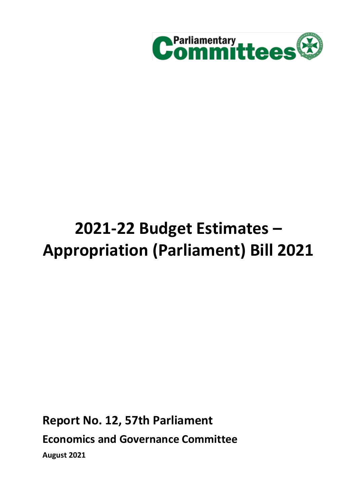

# **2021-22 Budget Estimates – Appropriation (Parliament) Bill 2021**

**Report No. 12, 57th Parliament Economics and Governance Committee August 2021**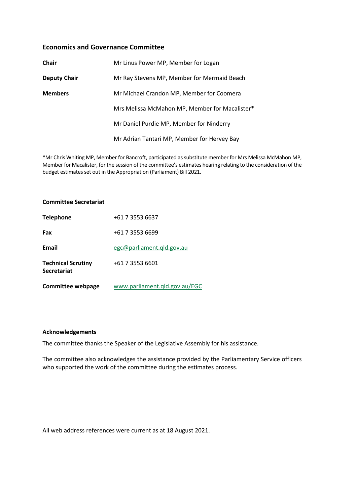## **Economics and Governance Committee**

| <b>Chair</b>        | Mr Linus Power MP, Member for Logan            |  |  |
|---------------------|------------------------------------------------|--|--|
| <b>Deputy Chair</b> | Mr Ray Stevens MP, Member for Mermaid Beach    |  |  |
| <b>Members</b>      | Mr Michael Crandon MP, Member for Coomera      |  |  |
|                     | Mrs Melissa McMahon MP, Member for Macalister* |  |  |
|                     | Mr Daniel Purdie MP, Member for Ninderry       |  |  |
|                     | Mr Adrian Tantari MP, Member for Hervey Bay    |  |  |

**\***Mr Chris Whiting MP, Member for Bancroft, participated as substitute member for Mrs Melissa McMahon MP, Member for Macalister, for the session of the committee's estimates hearing relating to the consideration of the budget estimates set out in the Appropriation (Parliament) Bill 2021.

#### **Committee Secretariat**

| <b>Telephone</b>                                | +61 7 3553 6637               |
|-------------------------------------------------|-------------------------------|
| Fax                                             | +61 7 3553 6699               |
| Email                                           | egc@parliament.gld.gov.au     |
| <b>Technical Scrutiny</b><br><b>Secretariat</b> | +61 7 3553 6601               |
| <b>Committee webpage</b>                        | www.parliament.qld.gov.au/EGC |

#### **Acknowledgements**

The committee thanks the Speaker of the Legislative Assembly for his assistance.

The committee also acknowledges the assistance provided by the Parliamentary Service officers who supported the work of the committee during the estimates process.

All web address references were current as at 18 August 2021.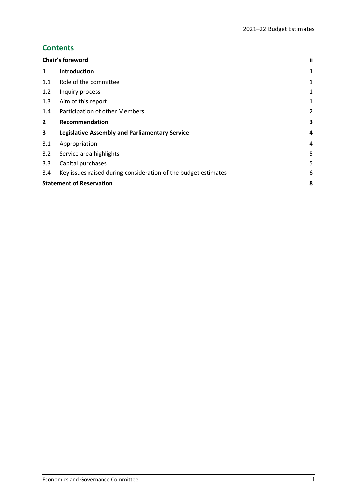# **Contents**

|                | Chair's foreword                                               |                |
|----------------|----------------------------------------------------------------|----------------|
| 1              | <b>Introduction</b>                                            | 1              |
| 1.1            | Role of the committee                                          | 1              |
| 1.2            | Inquiry process                                                | 1              |
| 1.3            | Aim of this report                                             | 1              |
| 1.4            | Participation of other Members                                 | $\overline{2}$ |
| $\overline{2}$ | Recommendation                                                 | 3              |
| 3              | <b>Legislative Assembly and Parliamentary Service</b>          | 4              |
| 3.1            | Appropriation                                                  | 4              |
| 3.2            | Service area highlights                                        | 5              |
| 3.3            | Capital purchases                                              | 5              |
| 3.4            | Key issues raised during consideration of the budget estimates | 6              |
|                | <b>Statement of Reservation</b>                                |                |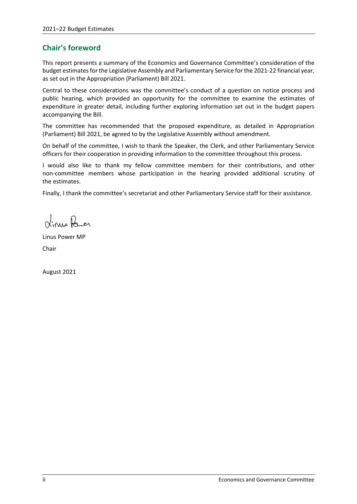# <span id="page-3-0"></span>**Chair's foreword**

This report presents a summary of the Economics and Governance Committee's consideration of the budget estimates for the Legislative Assembly and Parliamentary Service for the 2021-22 financial year, as set out in the Appropriation (Parliament) Bill 2021.

Central to these considerations was the committee's conduct of a question on notice process and public hearing, which provided an opportunity for the committee to examine the estimates of expenditure in greater detail, including further exploring information set out in the budget papers accompanying the Bill.

The committee has recommended that the proposed expenditure, as detailed in Appropriation (Parliament) Bill 2021, be agreed to by the Legislative Assembly without amendment.

On behalf of the committee, I wish to thank the Speaker, the Clerk, and other Parliamentary Service officers for their cooperation in providing information to the committee throughout this process.

I would also like to thank my fellow committee members for their contributions, and other non-committee members whose participation in the hearing provided additional scrutiny of the estimates.

Finally, I thank the committee's secretariat and other Parliamentary Service staff for their assistance.

Vinus Parer

Linus Power MP Chair

August 2021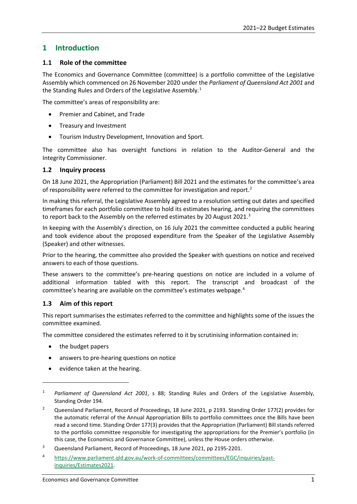# <span id="page-4-0"></span>**1 Introduction**

## <span id="page-4-1"></span>**1.1 Role of the committee**

The Economics and Governance Committee (committee) is a portfolio committee of the Legislative Assembly which commenced on 26 November 2020 under the *Parliament of Queensland Act 2001* and the Standing Rules and Orders of the Legislative Assembly.<sup>[1](#page-4-4)</sup>

The committee's areas of responsibility are:

- Premier and Cabinet, and Trade
- Treasury and Investment
- Tourism Industry Development, Innovation and Sport.

The committee also has oversight functions in relation to the Auditor-General and the Integrity Commissioner.

## <span id="page-4-2"></span>**1.2 Inquiry process**

On 18 June 2021, the Appropriation (Parliament) Bill 2021 and the estimates for the committee's area of responsibility were referred to the committee for investigation and report.<sup>[2](#page-4-5)</sup>

In making this referral, the Legislative Assembly agreed to a resolution setting out dates and specified timeframes for each portfolio committee to hold its estimates hearing, and requiring the committees to report back to the Assembly on the referred estimates by 20 August 2021.<sup>[3](#page-4-6)</sup>

In keeping with the Assembly's direction, on 16 July 2021 the committee conducted a public hearing and took evidence about the proposed expenditure from the Speaker of the Legislative Assembly (Speaker) and other witnesses.

Prior to the hearing, the committee also provided the Speaker with questions on notice and received answers to each of those questions.

These answers to the committee's pre-hearing questions on notice are included in a volume of additional information tabled with this report. The transcript and broadcast of the committee's hearing are available on the committee's estimates webpage.[4](#page-4-7)

## <span id="page-4-3"></span>**1.3 Aim of this report**

This report summarises the estimates referred to the committee and highlights some of the issues the committee examined.

The committee considered the estimates referred to it by scrutinising information contained in:

• the budget papers

1

- answers to pre-hearing questions on notice
- evidence taken at the hearing.

<span id="page-4-4"></span><sup>1</sup> *Parliament of Queensland Act 2001*, s 88; Standing Rules and Orders of the Legislative Assembly, Standing Order 194.

<span id="page-4-5"></span><sup>2</sup> Queensland Parliament, Record of Proceedings, 18 June 2021, p 2193. Standing Order 177(2) provides for the automatic referral of the Annual Appropriation Bills to portfolio committees once the Bills have been read a second time. Standing Order 177(3) provides that the Appropriation (Parliament) Bill stands referred to the portfolio committee responsible for investigating the appropriations for the Premier's portfolio (in this case, the Economics and Governance Committee), unless the House orders otherwise.

<span id="page-4-6"></span><sup>&</sup>lt;sup>3</sup> Queensland Parliament, Record of Proceedings, 18 June 2021, pp 2195-2201.

<span id="page-4-7"></span><sup>4</sup> [https://www.parliament.qld.gov.au/work-of-committees/committees/EGC/inquiries/past](https://www.parliament.qld.gov.au/work-of-committees/committees/EGC/inquiries/past-inquiries/Estimates2021)[inquiries/Estimates2021.](https://www.parliament.qld.gov.au/work-of-committees/committees/EGC/inquiries/past-inquiries/Estimates2021)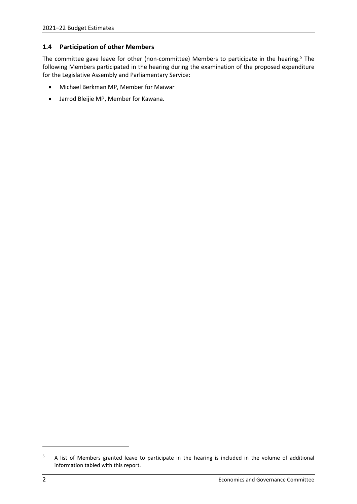## <span id="page-5-0"></span>**1.4 Participation of other Members**

The committee gave leave for other (non-committee) Members to participate in the hearing.<sup>[5](#page-5-1)</sup> The following Members participated in the hearing during the examination of the proposed expenditure for the Legislative Assembly and Parliamentary Service:

- Michael Berkman MP, Member for Maiwar
- Jarrod Bleijie MP, Member for Kawana.

 $\overline{a}$ 

<span id="page-5-1"></span><sup>5</sup> A list of Members granted leave to participate in the hearing is included in the volume of additional information tabled with this report.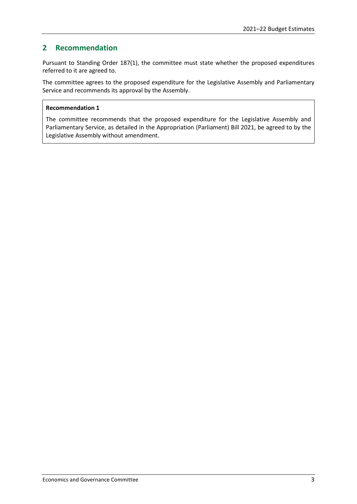# <span id="page-6-0"></span>**2 Recommendation**

Pursuant to Standing Order 187(1), the committee must state whether the proposed expenditures referred to it are agreed to.

The committee agrees to the proposed expenditure for the Legislative Assembly and Parliamentary Service and recommends its approval by the Assembly.

## **Recommendation 1**

The committee recommends that the proposed expenditure for the Legislative Assembly and Parliamentary Service, as detailed in the Appropriation (Parliament) Bill 2021, be agreed to by the Legislative Assembly without amendment.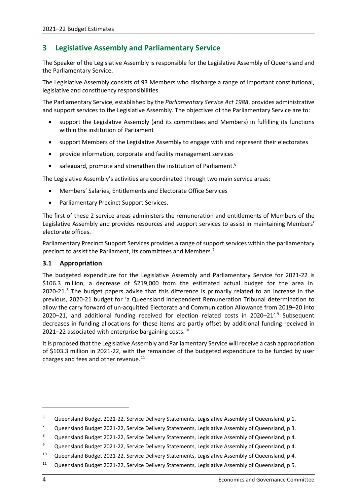# <span id="page-7-0"></span>**3 Legislative Assembly and Parliamentary Service**

The Speaker of the Legislative Assembly is responsible for the Legislative Assembly of Queensland and the Parliamentary Service.

The Legislative Assembly consists of 93 Members who discharge a range of important constitutional, legislative and constituency responsibilities.

The Parliamentary Service, established by the *Parliamentary Service Act 1988*, provides administrative and support services to the Legislative Assembly. The objectives of the Parliamentary Service are to:

- support the Legislative Assembly (and its committees and Members) in fulfilling its functions within the institution of Parliament
- support Members of the Legislative Assembly to engage with and represent their electorates
- provide information, corporate and facility management services
- safeguard, promote and strengthen the institution of Parliament.<sup>[6](#page-7-2)</sup>

The Legislative Assembly's activities are coordinated through two main service areas:

- Members' Salaries, Entitlements and Electorate Office Services
- Parliamentary Precinct Support Services.

The first of these 2 service areas administers the remuneration and entitlements of Members of the Legislative Assembly and provides resources and support services to assist in maintaining Members' electorate offices.

Parliamentary Precinct Support Services provides a range of support services within the parliamentary precinct to assist the Parliament, its committees and Members.<sup>7</sup>

## <span id="page-7-1"></span>**3.1 Appropriation**

The budgeted expenditure for the Legislative Assembly and Parliamentary Service for 2021-22 is \$106.3 million, a decrease of \$219,000 from the estimated actual budget for the area in 2020-21.<sup>[8](#page-7-4)</sup> The budget papers advise that this difference is primarily related to an increase in the previous, 2020-21 budget for 'a Queensland Independent Remuneration Tribunal determination to allow the carry forward of un-acquitted Electorate and Communication Allowance from 2019–20 into 2020–21, and additional funding received for election related costs in  $2020-21'.9$  $2020-21'.9$  Subsequent decreases in funding allocations for these items are partly offset by additional funding received in 2021–22 associated with enterprise bargaining costs.<sup>[10](#page-7-6)</sup>

It is proposed that the Legislative Assembly and Parliamentary Service will receive a cash appropriation of \$103.3 million in 2021-22, with the remainder of the budgeted expenditure to be funded by user charges and fees and other revenue. $^{11}$  $^{11}$  $^{11}$ 

1

<span id="page-7-2"></span><sup>&</sup>lt;sup>6</sup> Queensland Budget 2021-22, Service Delivery Statements, Legislative Assembly of Queensland, p 1.

<span id="page-7-3"></span><sup>7</sup> Queensland Budget 2021-22, Service Delivery Statements, Legislative Assembly of Queensland, p 3.

<span id="page-7-4"></span><sup>8</sup> Queensland Budget 2021-22, Service Delivery Statements, Legislative Assembly of Queensland, p 4.

<span id="page-7-5"></span><sup>9</sup> Queensland Budget 2021-22, Service Delivery Statements, Legislative Assembly of Queensland, p 4.

<span id="page-7-6"></span><sup>&</sup>lt;sup>10</sup> Queensland Budget 2021-22, Service Delivery Statements, Legislative Assembly of Queensland, p 4.

<span id="page-7-7"></span><sup>11</sup> Queensland Budget 2021-22, Service Delivery Statements, Legislative Assembly of Queensland, p 5.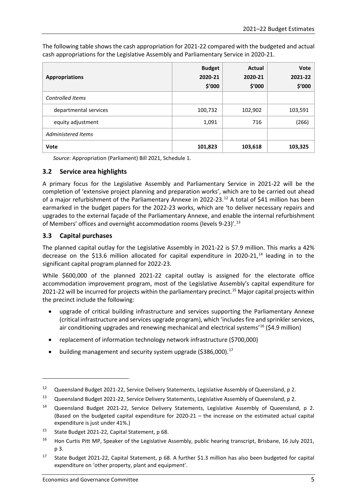The following table shows the cash appropriation for 2021-22 compared with the budgeted and actual cash appropriations for the Legislative Assembly and Parliamentary Service in 2020-21.

| <b>Appropriations</b>     | <b>Budget</b><br>2020-21<br>\$'000 | Actual<br>2020-21<br>\$'000 | Vote<br>2021-22<br>\$'000 |
|---------------------------|------------------------------------|-----------------------------|---------------------------|
| <b>Controlled Items</b>   |                                    |                             |                           |
| departmental services     | 100,732                            | 102,902                     | 103,591                   |
| equity adjustment         | 1,091                              | 716                         | (266)                     |
| <b>Administered Items</b> |                                    |                             |                           |
| Vote                      | 101,823                            | 103,618                     | 103,325                   |

*Source:* Appropriation (Parliament) Bill 2021, Schedule 1.

## <span id="page-8-0"></span>**3.2 Service area highlights**

A primary focus for the Legislative Assembly and Parliamentary Service in 2021-22 will be the completion of 'extensive project planning and preparation works', which are to be carried out ahead of a major refurbishment of the Parliamentary Annexe in 2022-23.<sup>[12](#page-8-2)</sup> A total of \$41 million has been earmarked in the budget papers for the 2022-23 works, which are 'to deliver necessary repairs and upgrades to the external façade of the Parliamentary Annexe, and enable the internal refurbishment of Members' offices and overnight accommodation rooms (levels 9-23)'.<sup>[13](#page-8-3)</sup>

## <span id="page-8-1"></span>**3.3 Capital purchases**

1

The planned capital outlay for the Legislative Assembly in 2021-22 is \$7.9 million. This marks a 42% decrease on the \$13.6 million allocated for capital expenditure in 2020-21, $^{14}$  $^{14}$  $^{14}$  leading in to the significant capital program planned for 2022-23.

While \$600,000 of the planned 2021-22 capital outlay is assigned for the electorate office accommodation improvement program, most of the Legislative Assembly's capital expenditure for 2021-22 will be incurred for projects within the parliamentary precinct.<sup>15</sup> Major capital projects within the precinct include the following:

- upgrade of critical building infrastructure and services supporting the Parliamentary Annexe (critical infrastructure and services upgrade program), which 'includes fire and sprinkler services, air conditioning upgrades and renewing mechanical and electrical systems<sup> $16$ </sup> (\$4.9 million)
- replacement of information technology network infrastructure (\$700,000)
- building management and security system upgrade (\$386,000). $^{17}$  $^{17}$  $^{17}$

<span id="page-8-2"></span><sup>&</sup>lt;sup>12</sup> Queensland Budget 2021-22, Service Delivery Statements, Legislative Assembly of Queensland, p 2.

<span id="page-8-3"></span><sup>13</sup> Queensland Budget 2021-22, Service Delivery Statements, Legislative Assembly of Queensland, p 2.

<span id="page-8-4"></span><sup>&</sup>lt;sup>14</sup> Queensland Budget 2021-22, Service Delivery Statements, Legislative Assembly of Queensland, p 2. (Based on the budgeted capital expenditure for 2020-21 – the increase on the estimated actual capital expenditure is just under 41%.)

<span id="page-8-5"></span><sup>&</sup>lt;sup>15</sup> State Budget 2021-22, Capital Statement, p 68.

<span id="page-8-6"></span><sup>&</sup>lt;sup>16</sup> Hon Curtis Pitt MP, Speaker of the Legislative Assembly, public hearing transcript, Brisbane, 16 July 2021, p 3.

<span id="page-8-7"></span><sup>&</sup>lt;sup>17</sup> State Budget 2021-22, Capital Statement, p 68. A further \$1.3 million has also been budgeted for capital expenditure on 'other property, plant and equipment'.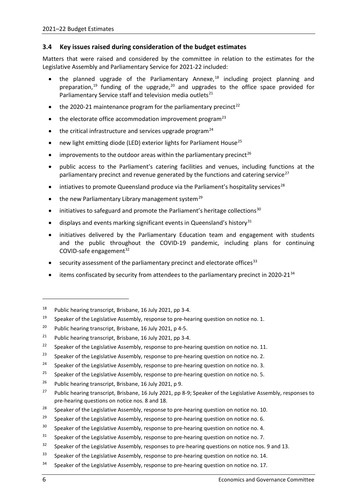## <span id="page-9-0"></span>**3.4 Key issues raised during consideration of the budget estimates**

Matters that were raised and considered by the committee in relation to the estimates for the Legislative Assembly and Parliamentary Service for 2021-22 included:

- the planned upgrade of the Parliamentary Annexe,<sup>[18](#page-9-1)</sup> including project planning and preparation,<sup>[19](#page-9-2)</sup> funding of the upgrade,<sup>[20](#page-9-3)</sup> and upgrades to the office space provided for Parliamentary Service staff and television media outlets<sup>[21](#page-9-4)</sup>
- the 2020-21 maintenance program for the parliamentary precinct<sup>[22](#page-9-5)</sup>
- the electorate office accommodation improvement program<sup>[23](#page-9-6)</sup>
- $\bullet$  the critical infrastructure and services upgrade program<sup>[24](#page-9-7)</sup>
- new light emitting diode (LED) exterior lights for Parliament House<sup>[25](#page-9-8)</sup>
- improvements to the outdoor areas within the parliamentary precinct<sup>[26](#page-9-9)</sup>
- public access to the Parliament's catering facilities and venues, including functions at the parliamentary precinct and revenue generated by the functions and catering service $^{27}$  $^{27}$  $^{27}$
- intiatives to promote Queensland produce via the Parliament's hospitality services<sup>[28](#page-9-11)</sup>
- the new Parliamentary Library management system<sup>[29](#page-9-12)</sup>
- initiatives to safeguard and promote the Parliament's heritage collections $30$
- displays and events marking significant events in Queensland's history $31$
- initiatives delivered by the Parliamentary Education team and engagement with students and the public throughout the COVID-19 pandemic, including plans for continuing COVID-safe engagement $32$
- security assessment of the parliamentary precinct and electorate offices<sup>[33](#page-9-16)</sup>
- items confiscated by security from attendees to the parliamentary precinct in 2020-21 $34$

<span id="page-9-9"></span><sup>26</sup> Public hearing transcript, Brisbane, 16 July 2021, p 9.

-

<span id="page-9-1"></span><sup>18</sup> Public hearing transcript, Brisbane, 16 July 2021, pp 3-4.

<span id="page-9-2"></span><sup>&</sup>lt;sup>19</sup> Speaker of the Legislative Assembly, response to pre-hearing question on notice no. 1.

<span id="page-9-3"></span><sup>&</sup>lt;sup>20</sup> Public hearing transcript, Brisbane, 16 July 2021, p 4-5.

<span id="page-9-4"></span><sup>&</sup>lt;sup>21</sup> Public hearing transcript, Brisbane, 16 July 2021, pp 3-4.

<span id="page-9-5"></span><sup>&</sup>lt;sup>22</sup> Speaker of the Legislative Assembly, response to pre-hearing question on notice no. 11.

<span id="page-9-6"></span><sup>&</sup>lt;sup>23</sup> Speaker of the Legislative Assembly, response to pre-hearing question on notice no. 2.

<span id="page-9-7"></span><sup>&</sup>lt;sup>24</sup> Speaker of the Legislative Assembly, response to pre-hearing question on notice no. 3.

<span id="page-9-8"></span><sup>&</sup>lt;sup>25</sup> Speaker of the Legislative Assembly, response to pre-hearing question on notice no. 5.

<span id="page-9-10"></span><sup>&</sup>lt;sup>27</sup> Public hearing transcript, Brisbane, 16 July 2021, pp 8-9; Speaker of the Legislative Assembly, responses to pre-hearing questions on notice nos. 8 and 18.

<span id="page-9-11"></span><sup>&</sup>lt;sup>28</sup> Speaker of the Legislative Assembly, response to pre-hearing question on notice no. 10.

<span id="page-9-12"></span><sup>&</sup>lt;sup>29</sup> Speaker of the Legislative Assembly, response to pre-hearing question on notice no. 6.

<span id="page-9-13"></span> $30$  Speaker of the Legislative Assembly, response to pre-hearing question on notice no. 4.

<span id="page-9-14"></span> $31$  Speaker of the Legislative Assembly, response to pre-hearing question on notice no. 7.

<span id="page-9-15"></span> $32$  Speaker of the Legislative Assembly, responses to pre-hearing questions on notice nos. 9 and 13.

<span id="page-9-16"></span><sup>&</sup>lt;sup>33</sup> Speaker of the Legislative Assembly, response to pre-hearing question on notice no. 14.

<span id="page-9-17"></span><sup>&</sup>lt;sup>34</sup> Speaker of the Legislative Assembly, response to pre-hearing question on notice no. 17.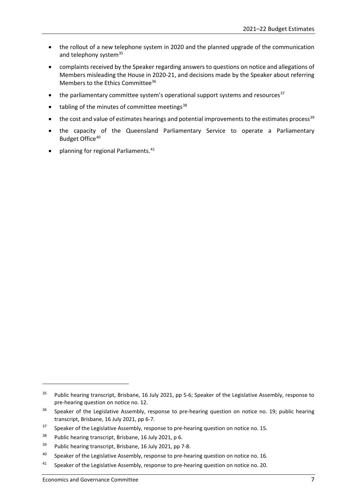- the rollout of a new telephone system in 2020 and the planned upgrade of the communication and telephony system<sup>[35](#page-10-0)</sup>
- complaints received by the Speaker regarding answers to questions on notice and allegations of Members misleading the House in 2020-21, and decisions made by the Speaker about referring Members to the Ethics Committee<sup>[36](#page-10-1)</sup>
- the parliamentary committee system's operational support systems and resources $37$
- $\bullet$  tabling of the minutes of committee meetings<sup>[38](#page-10-3)</sup>
- the cost and value of estimates hearings and potential improvements to the estimates process<sup>[39](#page-10-4)</sup>
- the capacity of the Queensland Parliamentary Service to operate a Parliamentary Budget Office<sup>[40](#page-10-5)</sup>
- planning for regional Parliaments.<sup>[41](#page-10-6)</sup>

1

<span id="page-10-0"></span><sup>&</sup>lt;sup>35</sup> Public hearing transcript, Brisbane, 16 July 2021, pp 5-6; Speaker of the Legislative Assembly, response to pre-hearing question on notice no. 12.

<span id="page-10-1"></span><sup>&</sup>lt;sup>36</sup> Speaker of the Legislative Assembly, response to pre-hearing question on notice no. 19; public hearing transcript, Brisbane, 16 July 2021, pp 6-7.

<span id="page-10-2"></span> $37$  Speaker of the Legislative Assembly, response to pre-hearing question on notice no. 15.

<span id="page-10-3"></span><sup>&</sup>lt;sup>38</sup> Public hearing transcript, Brisbane, 16 July 2021, p 6.

<span id="page-10-4"></span><sup>&</sup>lt;sup>39</sup> Public hearing transcript, Brisbane, 16 July 2021, pp 7-8.

<span id="page-10-5"></span><sup>&</sup>lt;sup>40</sup> Speaker of the Legislative Assembly, response to pre-hearing question on notice no. 16.

<span id="page-10-6"></span><sup>41</sup> Speaker of the Legislative Assembly, response to pre-hearing question on notice no. 20.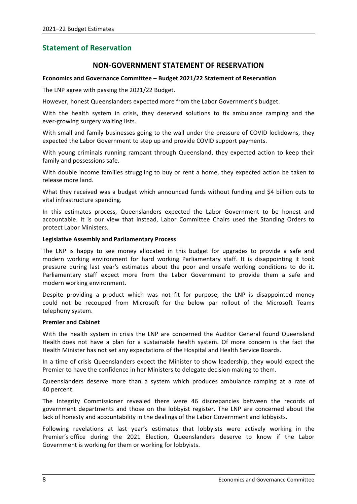# <span id="page-11-0"></span>**Statement of Reservation**

# **NON-GOVERNMENT STATEMENT OF RESERVATION**

#### **Economics and Governance Committee – Budget 2021/22 Statement of Reservation**

The LNP agree with passing the 2021/22 Budget.

However, honest Queenslanders expected more from the Labor Government's budget.

With the health system in crisis, they deserved solutions to fix ambulance ramping and the ever-growing surgery waiting lists.

With small and family businesses going to the wall under the pressure of COVID lockdowns, they expected the Labor Government to step up and provide COVID support payments.

With young criminals running rampant through Queensland, they expected action to keep their family and possessions safe.

With double income families struggling to buy or rent a home, they expected action be taken to release more land.

What they received was a budget which announced funds without funding and \$4 billion cuts to vital infrastructure spending.

In this estimates process, Queenslanders expected the Labor Government to be honest and accountable. It is our view that instead, Labor Committee Chairs used the Standing Orders to protect Labor Ministers.

#### **Legislative Assembly and Parliamentary Process**

The LNP is happy to see money allocated in this budget for upgrades to provide a safe and modern working environment for hard working Parliamentary staff. It is disappointing it took pressure during last year's estimates about the poor and unsafe working conditions to do it. Parliamentary staff expect more from the Labor Government to provide them a safe and modern working environment.

Despite providing a product which was not fit for purpose, the LNP is disappointed money could not be recouped from Microsoft for the below par rollout of the Microsoft Teams telephony system.

#### **Premier and Cabinet**

With the health system in crisis the LNP are concerned the Auditor General found Queensland Health does not have a plan for a sustainable health system. Of more concern is the fact the Health Minister has not set any expectations of the Hospital and Health Service Boards.

In a time of crisis Queenslanders expect the Minister to show leadership, they would expect the Premier to have the confidence in her Ministers to delegate decision making to them.

Queenslanders deserve more than a system which produces ambulance ramping at a rate of 40 percent.

The Integrity Commissioner revealed there were 46 discrepancies between the records of government departments and those on the lobbyist register. The LNP are concerned about the lack of honesty and accountability in the dealings of the Labor Government and lobbyists.

Following revelations at last year's estimates that lobbyists were actively working in the Premier's office during the 2021 Election, Queenslanders deserve to know if the Labor Government is working for them or working for lobbyists.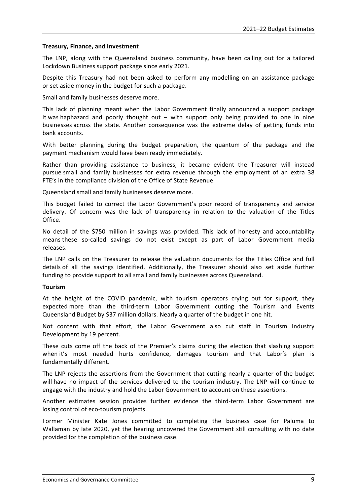#### **Treasury, Finance, and Investment**

The LNP, along with the Queensland business community, have been calling out for a tailored Lockdown Business support package since early 2021.

Despite this Treasury had not been asked to perform any modelling on an assistance package or set aside money in the budget for such a package.

Small and family businesses deserve more.

This lack of planning meant when the Labor Government finally announced a support package it was haphazard and poorly thought out – with support only being provided to one in nine businesses across the state. Another consequence was the extreme delay of getting funds into bank accounts.

With better planning during the budget preparation, the quantum of the package and the payment mechanism would have been ready immediately.

Rather than providing assistance to business, it became evident the Treasurer will instead pursue small and family businesses for extra revenue through the employment of an extra 38 FTE's in the compliance division of the Office of State Revenue.

Queensland small and family businesses deserve more.

This budget failed to correct the Labor Government's poor record of transparency and service delivery. Of concern was the lack of transparency in relation to the valuation of the Titles Office.

No detail of the \$750 million in savings was provided. This lack of honesty and accountability means these so-called savings do not exist except as part of Labor Government media releases.

The LNP calls on the Treasurer to release the valuation documents for the Titles Office and full details of all the savings identified. Additionally, the Treasurer should also set aside further funding to provide support to all small and family businesses across Queensland.

#### **Tourism**

At the height of the COVID pandemic, with tourism operators crying out for support, they expected more than the third-term Labor Government cutting the Tourism and Events Queensland Budget by \$37 million dollars. Nearly a quarter of the budget in one hit.

Not content with that effort, the Labor Government also cut staff in Tourism Industry Development by 19 percent.

These cuts come off the back of the Premier's claims during the election that slashing support when it's most needed hurts confidence, damages tourism and that Labor's plan is fundamentally different.

The LNP rejects the assertions from the Government that cutting nearly a quarter of the budget will have no impact of the services delivered to the tourism industry. The LNP will continue to engage with the industry and hold the Labor Government to account on these assertions.

Another estimates session provides further evidence the third-term Labor Government are losing control of eco-tourism projects.

Former Minister Kate Jones committed to completing the business case for Paluma to Wallaman by late 2020, yet the hearing uncovered the Government still consulting with no date provided for the completion of the business case.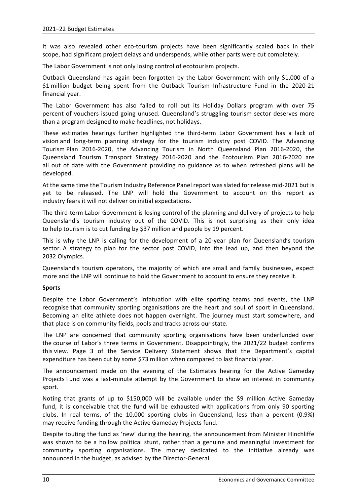It was also revealed other eco-tourism projects have been significantly scaled back in their scope, had significant project delays and underspends, while other parts were cut completely.

The Labor Government is not only losing control of ecotourism projects.

Outback Queensland has again been forgotten by the Labor Government with only \$1,000 of a \$1 million budget being spent from the Outback Tourism Infrastructure Fund in the 2020-21 financial year.

The Labor Government has also failed to roll out its Holiday Dollars program with over 75 percent of vouchers issued going unused. Queensland's struggling tourism sector deserves more than a program designed to make headlines, not holidays.

These estimates hearings further highlighted the third-term Labor Government has a lack of vision and long-term planning strategy for the tourism industry post COVID. The Advancing Tourism Plan 2016-2020, the Advancing Tourism in North Queensland Plan 2016-2020, the Queensland Tourism Transport Strategy 2016-2020 and the Ecotourism Plan 2016-2020 are all out of date with the Government providing no guidance as to when refreshed plans will be developed.

At the same time the Tourism Industry Reference Panel report was slated for release mid-2021 but is yet to be released. The LNP will hold the Government to account on this report as industry fears it will not deliver on initial expectations.

The third-term Labor Government is losing control of the planning and delivery of projects to help Queensland's tourism industry out of the COVID. This is not surprising as their only idea to help tourism is to cut funding by \$37 million and people by 19 percent.

This is why the LNP is calling for the development of a 20-year plan for Queensland's tourism sector. A strategy to plan for the sector post COVID, into the lead up, and then beyond the 2032 Olympics.

Queensland's tourism operators, the majority of which are small and family businesses, expect more and the LNP will continue to hold the Government to account to ensure they receive it.

#### **Sports**

Despite the Labor Government's infatuation with elite sporting teams and events, the LNP recognise that community sporting organisations are the heart and soul of sport in Queensland. Becoming an elite athlete does not happen overnight. The journey must start somewhere, and that place is on community fields, pools and tracks across our state.

The LNP are concerned that community sporting organisations have been underfunded over the course of Labor's three terms in Government. Disappointingly, the 2021/22 budget confirms this view. Page 3 of the Service Delivery Statement shows that the Department's capital expenditure has been cut by some \$73 million when compared to last financial year.

The announcement made on the evening of the Estimates hearing for the Active Gameday Projects Fund was a last-minute attempt by the Government to show an interest in community sport.

Noting that grants of up to \$150,000 will be available under the \$9 million Active Gameday fund, it is conceivable that the fund will be exhausted with applications from only 90 sporting clubs. In real terms, of the 10,000 sporting clubs in Queensland, less than a percent (0.9%) may receive funding through the Active Gameday Projects fund.

Despite touting the fund as 'new' during the hearing, the announcement from Minister Hinchliffe was shown to be a hollow political stunt, rather than a genuine and meaningful investment for community sporting organisations. The money dedicated to the initiative already was announced in the budget, as advised by the Director-General.